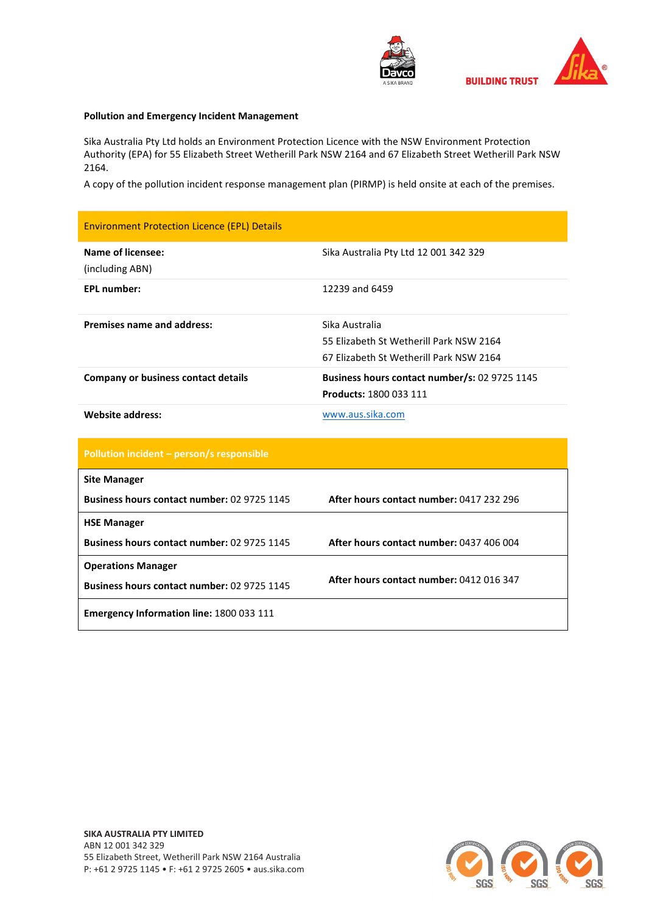



## **Pollution and Emergency Incident Management**

Sika Australia Pty Ltd holds an Environment Protection Licence with the NSW Environment Protection Authority (EPA) for 55 Elizabeth Street Wetherill Park NSW 2164 and 67 Elizabeth Street Wetherill Park NSW 2164.

A copy of the pollution incident response management plan (PIRMP) is held onsite at each of the premises.

| <b>Environment Protection Licence (EPL) Details</b> |                                                                                                      |
|-----------------------------------------------------|------------------------------------------------------------------------------------------------------|
| <b>Name of licensee:</b><br>(including ABN)         | Sika Australia Pty Ltd 12 001 342 329                                                                |
| <b>EPL number:</b>                                  | 12239 and 6459                                                                                       |
| <b>Premises name and address:</b>                   | Sika Australia<br>55 Elizabeth St Wetherill Park NSW 2164<br>67 Elizabeth St Wetherill Park NSW 2164 |
| <b>Company or business contact details</b>          | Business hours contact number/s: 02 9725 1145<br>Products: 1800 033 111                              |
| <b>Website address:</b>                             | www.aus.sika.com                                                                                     |
| Pollution incident - person/s responsible           |                                                                                                      |
| <b>Site Manager</b>                                 |                                                                                                      |
| Business hours contact number: 02 9725 1145         | After hours contact number: 0417 232 296                                                             |
| <b>HSE Manager</b>                                  |                                                                                                      |
| Business hours contact number: 02 9725 1145         | After hours contact number: 0437 406 004                                                             |
| <b>Operations Manager</b>                           |                                                                                                      |
| Business hours contact number: 02 9725 1145         | After hours contact number: 0412 016 347                                                             |
| Emergency Information line: 1800 033 111            |                                                                                                      |